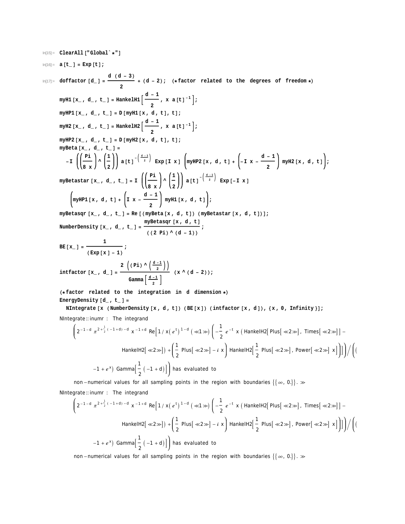In[15]:= **ClearAll@"Global`\*"<sup>D</sup>**

$$
\ln[16] := \mathbf{a} \left[ \mathbf{t}_{\perp} \right] = \mathbf{Exp} \left[ \mathbf{t} \right] ;
$$

 $ln[17] :=$  **doffactor**  $[d_$  **d**  $(d - 3)$  $\frac{1}{2}$  + (d - 2); (\* factor related to the degrees of freedom \*) **myH1**  $[\mathbf{x}_1, \mathbf{d}_2, \mathbf{t}_2] = \text{HankelHI} \left[ \frac{\mathbf{d} - 1}{2} \right]$ **2** , **x a**  $[\mathbf{t}]^{-1}$  ;  $m$ *y***HP1** $[x_$ *,* **d** *,* **t**<sub> $-$ </sub> $]$  =  $D$  $[m$ *y*H1 $[x, d, t]$ *,* t<sub> $]$ *;*</sub> **m**yH2 [ $\mathbf{x}_-$  **, d** \_ **, t** \_ ] = **HankelH2**  $\left[ \frac{d-1}{2} \right]$ **2** , **x a**  $[\mathbf{t}]^{-1}$  ;  $m$ *y***HP2** $[x_$ *,* **d**<sub>*,*</sub> **t**<sub>*=*</sub> $]$  =  $D$  $[m$ *y*H2 $[x, d, t]$ *,* t $]$ *;* **myBeta@x\_ , d\_ , t\_ <sup>D</sup> <sup>=</sup> - I Pi 8 x**  $\frac{1}{2}$  $\begin{pmatrix} 1 \\ -2 \end{pmatrix}$  a [t]  $\begin{pmatrix} \frac{d-1}{2} \end{pmatrix}$  Exp [I x]  $\left( \text{myHP2} \left[ x, d, t \right] + \begin{pmatrix} -1 & x - \frac{d-1}{2} \end{pmatrix} \right)$ **2 myH2@x , d , tD ; myBetastar**  $[\mathbf{x}_A, \mathbf{d}_A, \mathbf{t}_B] = \mathbf{I}$   $\left( \begin{pmatrix} \mathbf{P} \mathbf{i}_A & \mathbf{d}_A \\ \mathbf{d}_A & \mathbf{d}_B \end{pmatrix} \right)$ **8 x**  $\frac{1}{2}$  $\begin{bmatrix} 1 \\ 2 \end{bmatrix}$  **a**  $\begin{bmatrix} t \end{bmatrix}$ <sup>- $\begin{bmatrix} \frac{d-1}{2} \\ 2 \end{bmatrix}$  **Exp**  $\begin{bmatrix} -I \times \end{bmatrix}$ </sup> **myHP1**  $[x, d, t] + \left[1 x - \frac{d - 1}{2}\right]$ **2 myH1@x , d , tD ;** myBetasqr  $[x_ , d_ , t_ ]$  = Re  $[(myBeta[x, d, t]) (myBeta[x, d, t])]$  $M$  **MumberDensity**  $[\mathbf{x}_1, \mathbf{d}_1, \mathbf{t}_2] = \frac{\text{myBetagr} [\mathbf{x}, \mathbf{d}, \mathbf{t}_1]}{(\sqrt{2}|\mathbf{x}_1|)(\sqrt{2}+1) \sqrt{2}}$ **HH <sup>2</sup> Pi<sup>L</sup> ^ <sup>H</sup> <sup>d</sup> - <sup>1</sup>LL ; BE**  $[\mathbf{x}_{-}] = \frac{1}{\sqrt{2\pi} \sum_{n=0}^{\infty} \frac{1}{n^2}}$  $(\text{Exp}[x] - 1)$ **;**

$$
\text{inffactor} \left[\mathbf{x}_{\cdot}, \mathbf{d}_{\cdot}\right] = \frac{2\left((\text{Pi}) \wedge \left(\frac{\mathbf{d}-1}{2}\right)\right)}{\text{Gamma}\left(\frac{\mathbf{d}-1}{2}\right)} \quad (\mathbf{x} \wedge (\mathbf{d}-2));
$$

**<sup>H</sup>\* factor related to the integration in <sup>d</sup> dimension \*<sup>L</sup> EnergyDensity**  $[d_$  , **t\_**  $] =$ 

NIntegrate [x (NumberDensity [x, d, t]) (BE[x]) (intfactor [x, d]), {x, 0, Infinity}];

NIntegrate:: inumr : The integrand

$$
\left(2^{-1-d} \pi^{2+\frac{1}{2}(-1+d)-d} x^{-1+d} \operatorname{Re}\left[1/x(e^{t})^{1-d}(\lll)\right] \left(-\frac{1}{2} e^{-t} x\left(\text{HankelH2}\left[\text{Plus}[\lll]\right] \right) \cdot \text{times}[\lll]\right) - \frac{1}{2} \left(2^{-1-d} \pi^{2+\frac{1}{2}(-1+d)}\right) \left(1 - \frac{1}{2} \operatorname{Plus}[\lll]\right)
$$
\n
$$
\text{HankelH2}\left[\lll 2\gg\right] + \left(\frac{1}{2} \operatorname{Plus}[\lll]\right) \left(1 + \frac{1}{2} \operatorname{Plus}[\lll]\right) \cdot \text{HankelH2}\left[\frac{1}{2} \operatorname{Plus}[\lll]\right) \cdot \text{Power}[\lll]\right)
$$
\n
$$
-1 + e^x \text{ Gamma}\left[\frac{1}{2}(-1+d)\right] \text{has evaluated to}
$$

non - numerical values for all sampling points in the region with boundaries  $\{\infty, 0.\}$ .

NIntegrate:: inumr : The integrand

$$
\left(2^{-1-d} \pi^{2+\frac{1}{2}(-1+d)-d} \times^{-1+d} \text{Re}\left[1/\times(e^t)^{1-d}(\ll1\%)\left(-\frac{1}{2}e^{-t} \times (\text{HankelH2}[\text{Plus}[\ll2\%)], \text{Times}[\ll2\%)]\right] - \right.\n\text{HankelH2}[\ll2\%)]\n+ \left(\frac{1}{2} \text{Plus}[\ll2\%)\right] - i \times \text{HankelH2}\left[\frac{1}{2} \text{Plus}[\ll2\%)], \text{Power}[\ll2\%)\right]\n\left| \right) / \left(1 - 1 + e^{\times}\right) \text{Gamma}\left[\frac{1}{2}(-1+d)\right]\right)
$$
\nhas evaluated to

non - numerical values for all sampling points in the region with boundaries  $\{\{\infty, 0.\}\}\rightarrow \infty$